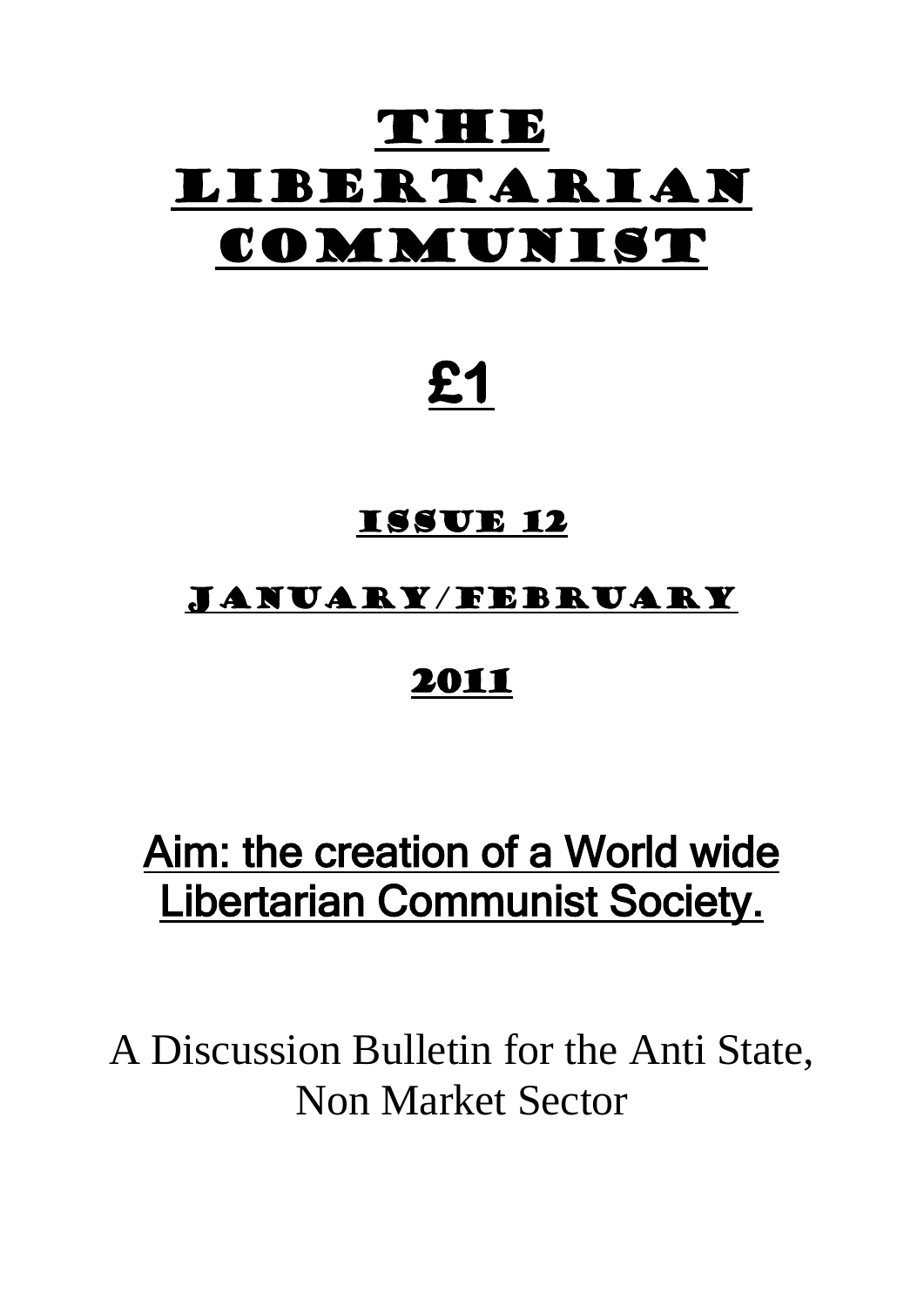# THEE Libertarian COMMUNIST

# **£1**

### Issue 12

## January/February

## 2011

# Aim: the creation of a World wide Libertarian Communist Society.

A Discussion Bulletin for the Anti State, Non Market Sector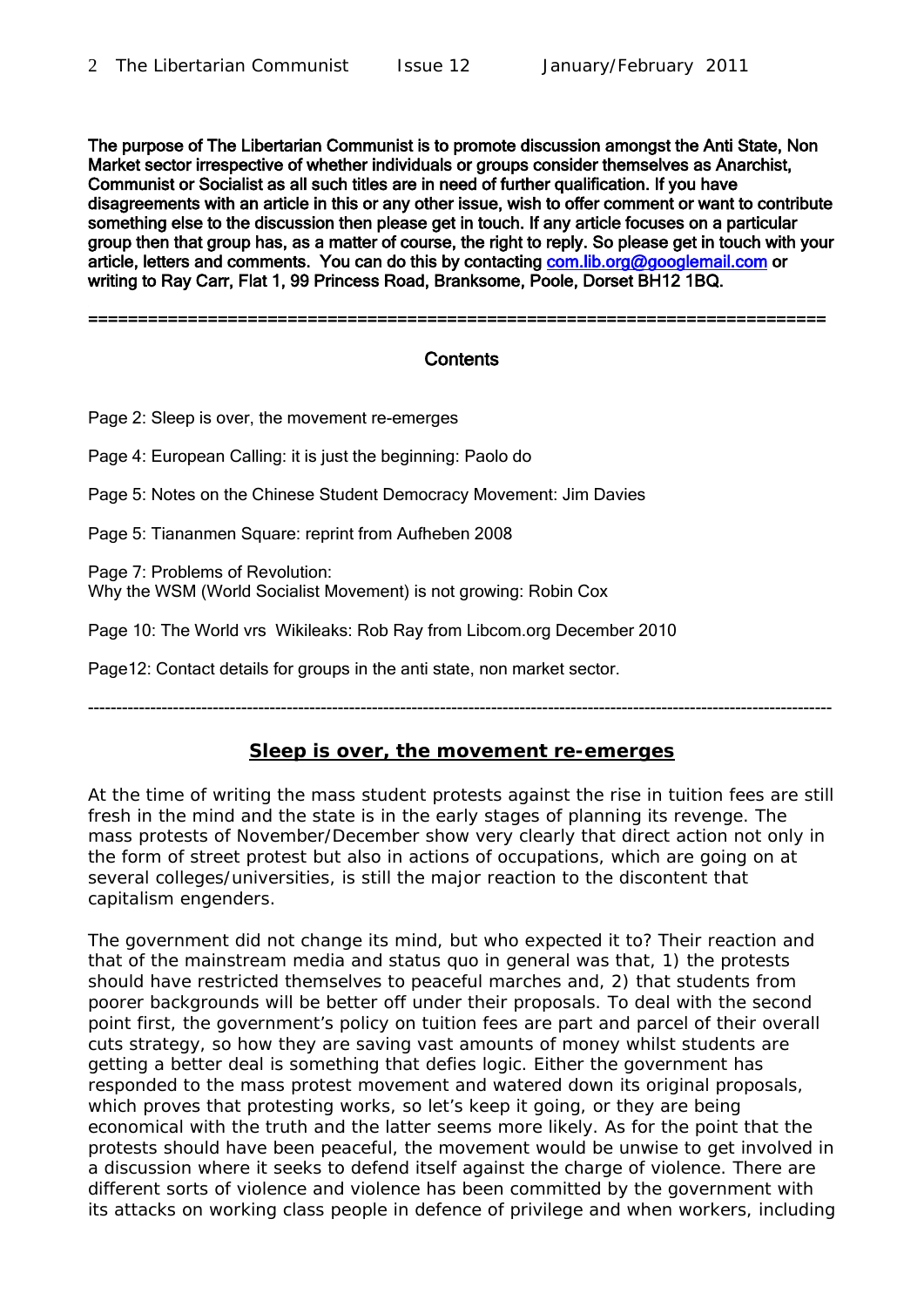The purpose of The Libertarian Communist is to promote discussion amongst the Anti State, Non Market sector irrespective of whether individuals or groups consider themselves as Anarchist, Communist or Socialist as all such titles are in need of further qualification. If you have disagreements with an article in this or any other issue, wish to offer comment or want to contribute something else to the discussion then please get in touch. If any article focuses on a particular group then that group has, as a matter of course, the right to reply. So please get in touch with your article, letters and comments. You can do this by contacting [com.lib.org@googlemail.com](mailto:com.lib.org@googlemail.com) or writing to Ray Carr, Flat 1, 99 Princess Road, Branksome, Poole, Dorset BH12 1BQ.

==========================================================================

#### **Contents**

Page 2: Sleep is over, the movement re-emerges

Page 4: European Calling: it is just the beginning: Paolo do

Page 5: Notes on the Chinese Student Democracy Movement: Jim Davies

Page 5: Tiananmen Square: reprint from Aufheben 2008

Page 7: Problems of Revolution: Why the WSM (World Socialist Movement) is not growing: Robin Cox

Page 10: The World vrs Wikileaks: Rob Ray from Libcom.org December 2010

Page12: Contact details for groups in the anti state, non market sector.

**Sleep is over, the movement re-emerges**

-----------------------------------------------------------------------------------------------------------------------------------

At the time of writing the mass student protests against the rise in tuition fees are still fresh in the mind and the state is in the early stages of planning its revenge. The mass protests of November/December show very clearly that direct action not only in the form of street protest but also in actions of occupations, which are going on at several colleges/universities, is still the major reaction to the discontent that capitalism engenders.

The government did not change its mind, but who expected it to? Their reaction and that of the mainstream media and status quo in general was that, 1) the protests should have restricted themselves to peaceful marches and, 2) that students from poorer backgrounds will be better off under their proposals. To deal with the second point first, the government's policy on tuition fees are part and parcel of their overall cuts strategy, so how they are saving vast amounts of money whilst students are getting a better deal is something that defies logic. Either the government has responded to the mass protest movement and watered down its original proposals, which proves that protesting works, so let's keep it going, or they are being economical with the truth and the latter seems more likely. As for the point that the protests should have been peaceful, the movement would be unwise to get involved in a discussion where it seeks to defend itself against the charge of violence. There are different sorts of violence and violence has been committed by the government with its attacks on working class people in defence of privilege and when workers, including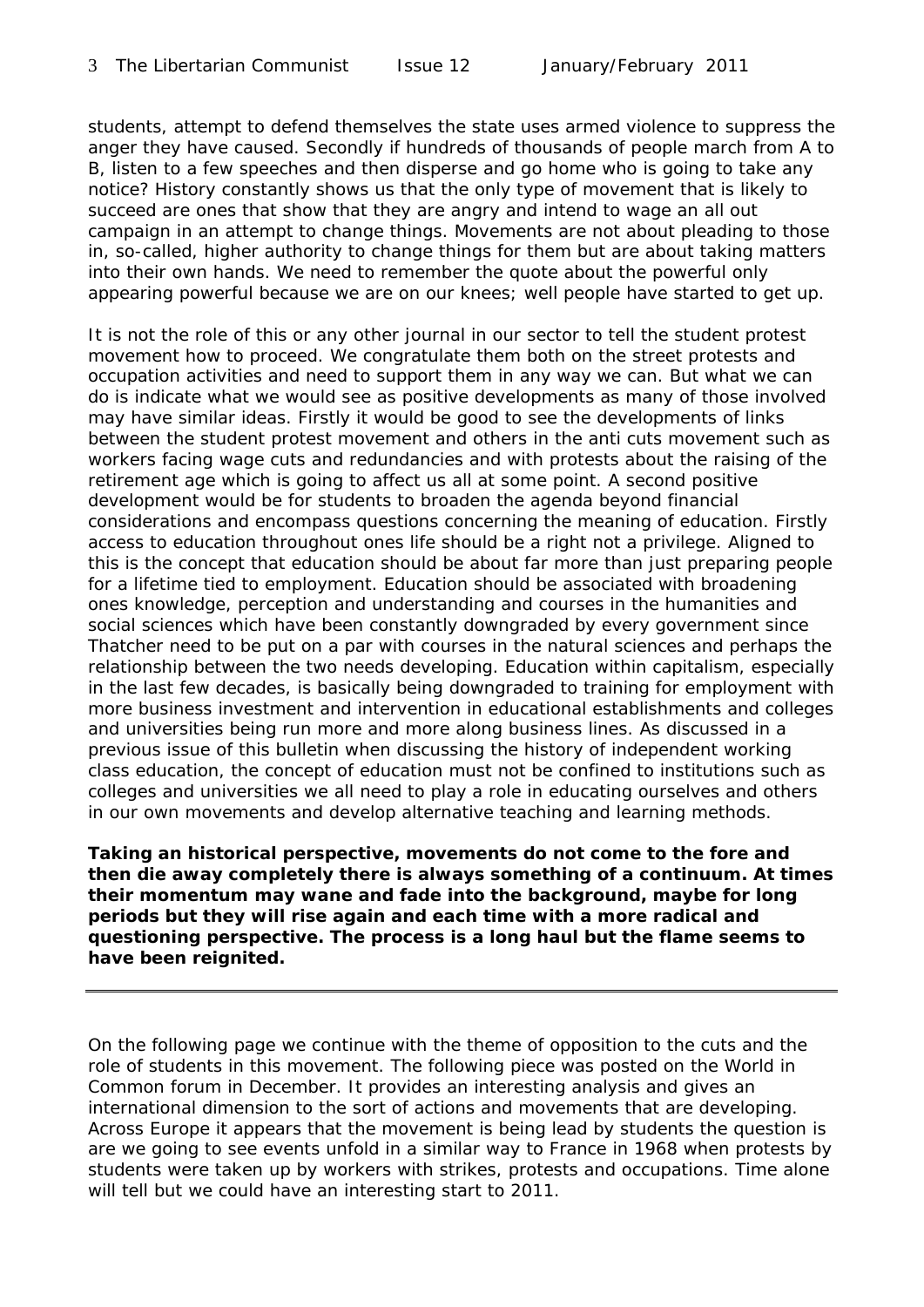students, attempt to defend themselves the state uses armed violence to suppress the anger they have caused. Secondly if hundreds of thousands of people march from A to B, listen to a few speeches and then disperse and go home who is going to take any notice? History constantly shows us that the only type of movement that is likely to succeed are ones that show that they are angry and intend to wage an all out campaign in an attempt to change things. Movements are not about pleading to those in, so-called, higher authority to change things for them but are about taking matters into their own hands. We need to remember the quote about the powerful only appearing powerful because we are on our knees; well people have started to get up.

It is not the role of this or any other journal in our sector to tell the student protest movement how to proceed. We congratulate them both on the street protests and occupation activities and need to support them in any way we can. But what we can do is indicate what we would see as positive developments as many of those involved may have similar ideas. Firstly it would be good to see the developments of links between the student protest movement and others in the anti cuts movement such as workers facing wage cuts and redundancies and with protests about the raising of the retirement age which is going to affect us all at some point. A second positive development would be for students to broaden the agenda beyond financial considerations and encompass questions concerning the meaning of education. Firstly access to education throughout ones life should be a right not a privilege. Aligned to this is the concept that education should be about far more than just preparing people for a lifetime tied to employment. Education should be associated with broadening ones knowledge, perception and understanding and courses in the humanities and social sciences which have been constantly downgraded by every government since Thatcher need to be put on a par with courses in the natural sciences and perhaps the relationship between the two needs developing. Education within capitalism, especially in the last few decades, is basically being downgraded to training for employment with more business investment and intervention in educational establishments and colleges and universities being run more and more along business lines. As discussed in a previous issue of this bulletin when discussing the history of independent working class education, the concept of education must not be confined to institutions such as colleges and universities we all need to play a role in educating ourselves and others in our own movements and develop alternative teaching and learning methods.

*Taking an historical perspective, movements do not come to the fore and then die away completely there is always something of a continuum. At times their momentum may wane and fade into the background, maybe for long periods but they will rise again and each time with a more radical and questioning perspective. The process is a long haul but the flame seems to have been reignited.*

On the following page we continue with the theme of opposition to the cuts and the role of students in this movement. The following piece was posted on the World in Common forum in December. It provides an interesting analysis and gives an international dimension to the sort of actions and movements that are developing. Across Europe it appears that the movement is being lead by students the question is are we going to see events unfold in a similar way to France in 1968 when protests by students were taken up by workers with strikes, protests and occupations. Time alone will tell but we could have an interesting start to 2011.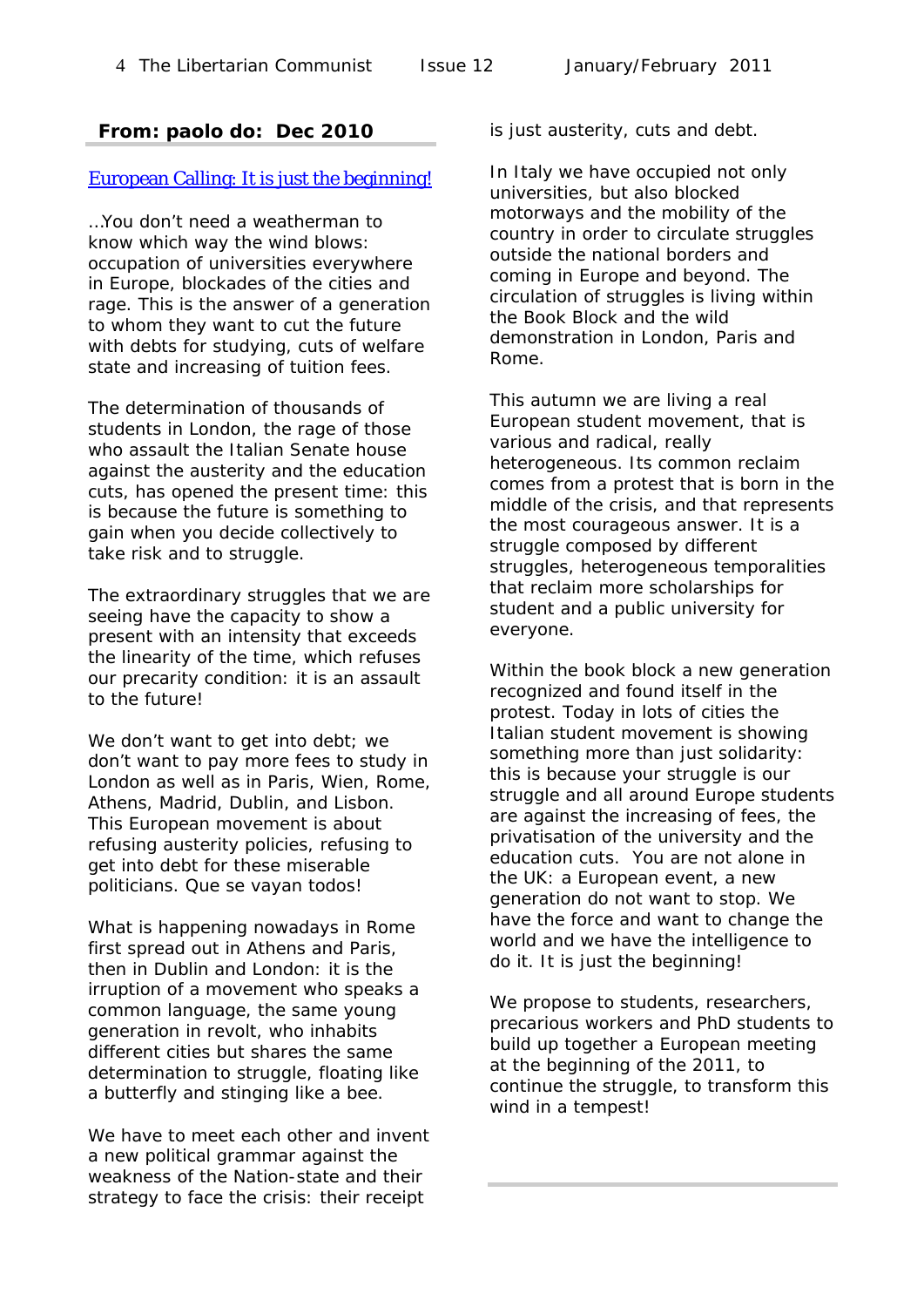### **From: paolo do: Dec 2010**

#### [European Calling: It is just the beginning!](http://groups.yahoo.com/group/worldincommon/message/11141;_ylc=X3oDMTJyc3FybzM5BF9TAzk3MzU5NzE1BGdycElkAzg4ODM2NDcEZ3Jwc3BJZAMxNzA1MTQzMjU4BG1zZ0lkAzExMTQxBHNlYwNkbXNnBHNsawN2bXNnBHN0aW1lAzEyOTE5ODA1MTk-)

…You don't need a weatherman to know which way the wind blows: occupation of universities everywhere in Europe, blockades of the cities and rage. This is the answer of a generation to whom they want to cut the future with debts for studying, cuts of welfare state and increasing of tuition fees.

The determination of thousands of students in London, the rage of those who assault the Italian Senate house against the austerity and the education cuts, has opened the present time: this is because the future is something to gain when you decide collectively to take risk and to struggle.

The extraordinary struggles that we are seeing have the capacity to show a present with an intensity that exceeds the linearity of the time, which refuses our precarity condition: it is an assault to the future!

We don't want to get into debt; we don't want to pay more fees to study in London as well as in Paris, Wien, Rome, Athens, Madrid, Dublin, and Lisbon. This European movement is about refusing austerity policies, refusing to get into debt for these miserable politicians. Que se vayan todos!

What is happening nowadays in Rome first spread out in Athens and Paris, then in Dublin and London: it is the irruption of a movement who speaks a common language, the same young generation in revolt, who inhabits different cities but shares the same determination to struggle, floating like a butterfly and stinging like a bee.

We have to meet each other and invent a new political grammar against the weakness of the Nation-state and their strategy to face the crisis: their receipt

is just austerity, cuts and debt.

In Italy we have occupied not only universities, but also blocked motorways and the mobility of the country in order to circulate struggles outside the national borders and coming in Europe and beyond. The circulation of struggles is living within the Book Block and the wild demonstration in London, Paris and Rome.

This autumn we are living a real European student movement, that is various and radical, really heterogeneous. Its common reclaim comes from a protest that is born in the middle of the crisis, and that represents the most courageous answer. It is a struggle composed by different struggles, heterogeneous temporalities that reclaim more scholarships for student and a public university for everyone.

Within the book block a new generation recognized and found itself in the protest. Today in lots of cities the Italian student movement is showing something more than just solidarity: this is because your struggle is our struggle and all around Europe students are against the increasing of fees, the privatisation of the university and the education cuts. You are not alone in the UK: a European event, a new generation do not want to stop. We have the force and want to change the world and we have the intelligence to do it. It is just the beginning!

We propose to students, researchers, precarious workers and PhD students to build up together a European meeting at the beginning of the 2011, to continue the struggle, to transform this wind in a tempest!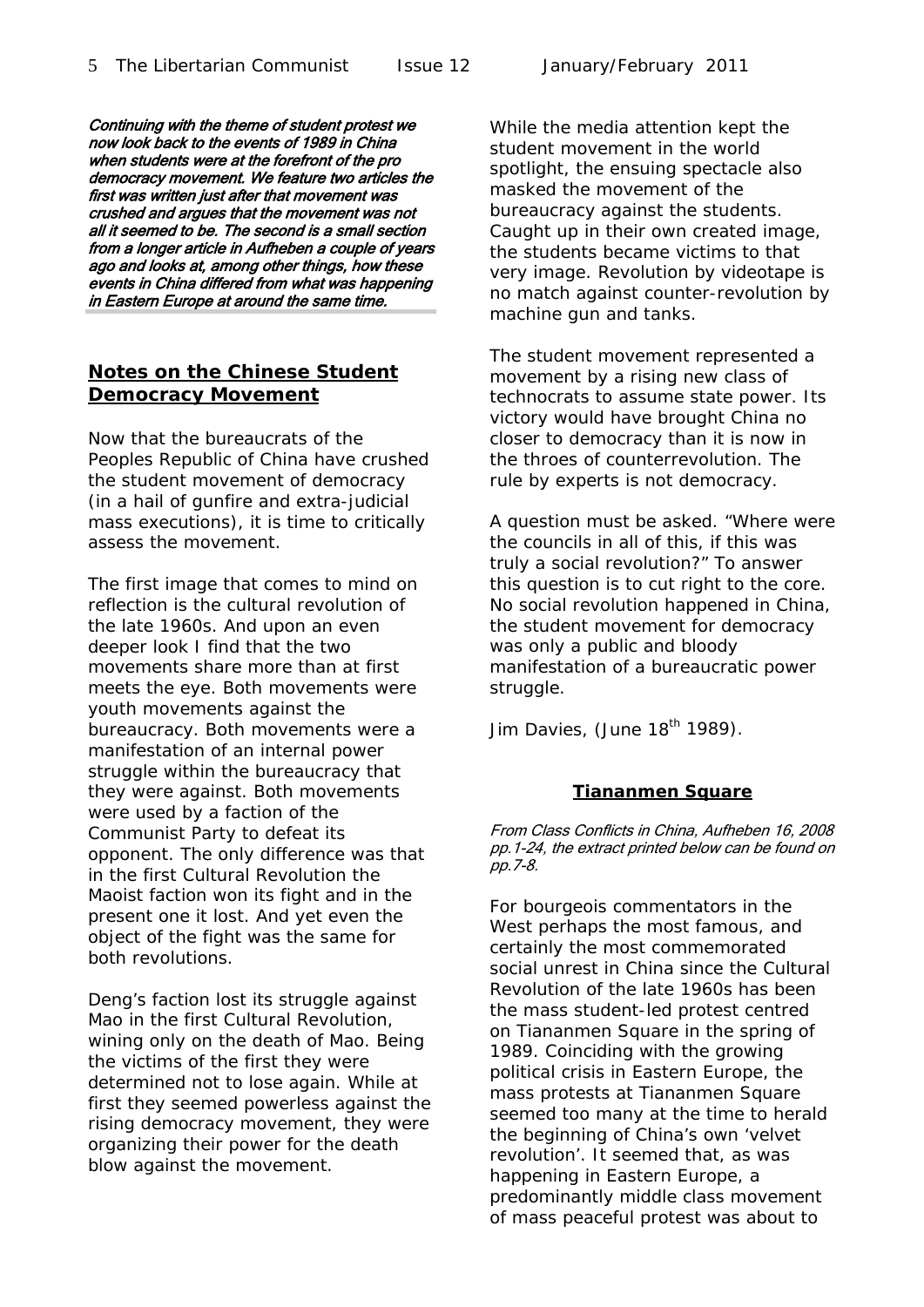Continuing with the theme of student protest we now look back to the events of 1989 in China when students were at the forefront of the pro democracy movement. We feature two articles the first was written just after that movement was crushed and argues that the movement was not all it seemed to be. The second is a small section from a longer article in Aufheben a couple of years ago and looks at, among other things, how these

**Notes on the Chinese Student Democracy Movement**

events in China differed from what was happening in Eastern Europe at around the same time.

Now that the bureaucrats of the Peoples Republic of China have crushed the student movement of democracy (in a hail of gunfire and extra-judicial mass executions), it is time to critically assess the movement.

The first image that comes to mind on reflection is the cultural revolution of the late 1960s. And upon an even deeper look I find that the two movements share more than at first meets the eye. Both movements were youth movements against the bureaucracy. Both movements were a manifestation of an internal power struggle within the bureaucracy that they were against. Both movements were used by a faction of the Communist Party to defeat its opponent. The only difference was that in the first Cultural Revolution the Maoist faction won its fight and in the present one it lost. And yet even the object of the fight was the same for both revolutions.

Deng's faction lost its struggle against Mao in the first Cultural Revolution, wining only on the death of Mao. Being the victims of the first they were determined not to lose again. While at first they seemed powerless against the rising democracy movement, they were organizing their power for the death blow against the movement.

While the media attention kept the student movement in the world spotlight, the ensuing spectacle also masked the movement of the bureaucracy against the students. Caught up in their own created image, the students became victims to that very image. Revolution by videotape is no match against counter-revolution by machine gun and tanks.

The student movement represented a movement by a rising new class of technocrats to assume state power. Its victory would have brought China no closer to democracy than it is now in the throes of counterrevolution. The rule by experts is not democracy.

A question must be asked. "Where were the councils in all of this, if this was truly a social revolution?" To answer this question is to cut right to the core. No social revolution happened in China, the student movement for democracy was only a public and bloody manifestation of a bureaucratic power struggle.

Jim Davies, (June  $18<sup>th</sup>$  1989).

#### **Tiananmen Square**

From Class Conflicts in China, Aufheben 16, 2008 pp.1-24, the extract printed below can be found on pp.7-8.

For bourgeois commentators in the West perhaps the most famous, and certainly the most commemorated social unrest in China since the Cultural Revolution of the late 1960s has been the mass student-led protest centred on Tiananmen Square in the spring of 1989. Coinciding with the growing political crisis in Eastern Europe, the mass protests at Tiananmen Square seemed too many at the time to herald the beginning of China's own *'velvet revolution'.* It seemed that, as was happening in Eastern Europe, a predominantly middle class movement of mass peaceful protest was about to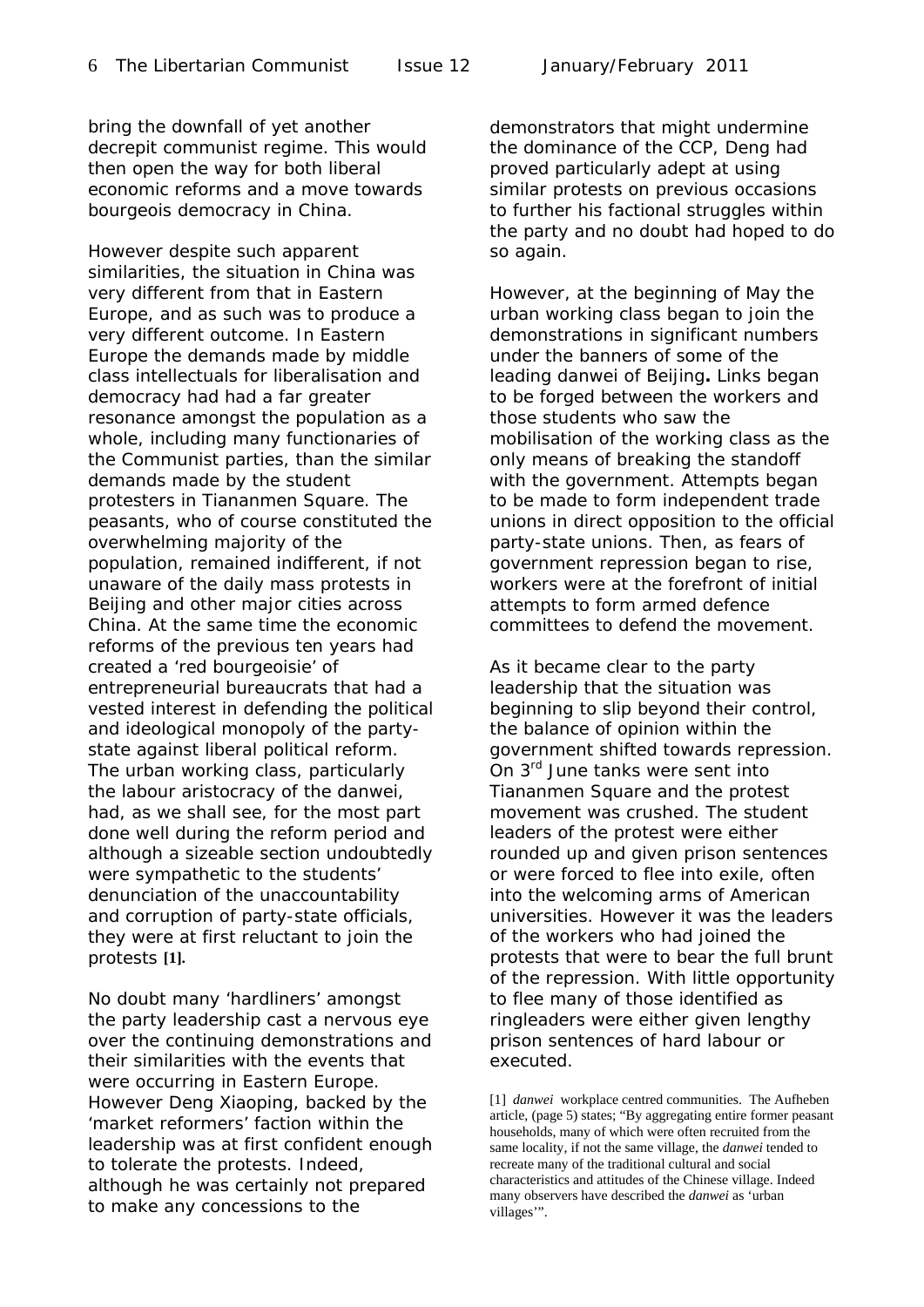bring the downfall of yet another decrepit communist regime. This would then open the way for both liberal economic reforms and a move towards bourgeois democracy in China.

However despite such apparent similarities, the situation in China was very different from that in Eastern Europe, and as such was to produce a very different outcome. In Eastern Europe the demands made by middle class intellectuals for liberalisation and democracy had had a far greater resonance amongst the population as a whole, including many functionaries of the Communist parties, than the similar demands made by the student protesters in Tiananmen Square. The peasants, who of course constituted the overwhelming majority of the population, remained indifferent, if not unaware of the daily mass protests in Beijing and other major cities across China. At the same time the economic reforms of the previous ten years had created a *'red bourgeoisie'* of entrepreneurial bureaucrats that had a vested interest in defending the political and ideological monopoly of the partystate against liberal political reform. The urban working class, particularly the labour aristocracy of the *danwei,*  had, as we shall see, for the most part done well during the reform period and although a sizeable section undoubtedly were sympathetic to the students' denunciation of the unaccountability and corruption of party-state officials, they were at first reluctant to join the protests **[1].** 

No doubt many 'hardliners' amongst the party leadership cast a nervous eye over the continuing demonstrations and their similarities with the events that were occurring in Eastern Europe. However Deng Xiaoping, backed by the 'market reformers' faction within the leadership was at first confident enough to tolerate the protests. Indeed, although he was certainly not prepared to make any concessions to the

demonstrators that might undermine the dominance of the CCP, Deng had proved particularly adept at using similar protests on previous occasions to further his factional struggles within the party and no doubt had hoped to do so again.

However, at the beginning of May the urban working class began to join the demonstrations in significant numbers under the banners of some of the leading *danwei* of Beijing**.** Links began to be forged between the workers and those students who saw the mobilisation of the working class as the only means of breaking the standoff with the government. Attempts began to be made to form independent trade unions in direct opposition to the official party-state unions. Then, as fears of government repression began to rise, workers were at the forefront of initial attempts to form armed defence committees to defend the movement.

As it became clear to the party leadership that the situation was beginning to slip beyond their control, the balance of opinion within the government shifted towards repression. On 3<sup>rd</sup> June tanks were sent into Tiananmen Square and the protest movement was crushed. The student leaders of the protest were either rounded up and given prison sentences or were forced to flee into exile, often into the welcoming arms of American universities. However it was the leaders of the workers who had joined the protests that were to bear the full brunt of the repression. With little opportunity to flee many of those identified as ringleaders were either given lengthy prison sentences of hard labour or executed.

[1] *danwei* workplace centred communities. The Aufheben article, (page 5) states; "By aggregating entire former peasant households, many of which were often recruited from the same locality, if not the same village, the *danwei* tended to recreate many of the traditional cultural and social characteristics and attitudes of the Chinese village. Indeed many observers have described the *danwei* as 'urban villages'".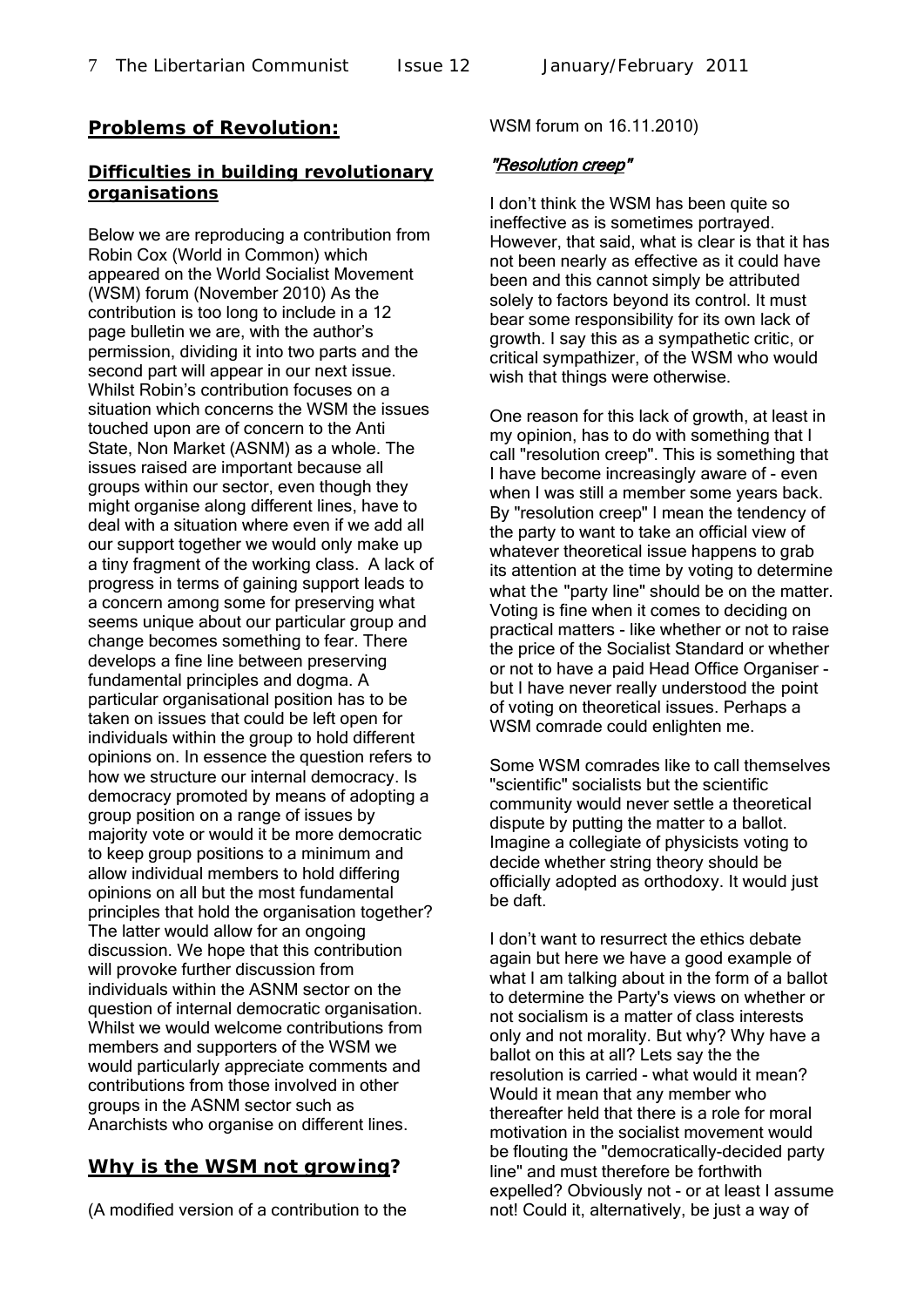#### **Problems of Revolution:**

#### **Difficulties in building revolutionary organisations**

Below we are reproducing a contribution from Robin Cox (World in Common) which appeared on the World Socialist Movement (WSM) forum (November 2010) As the contribution is too long to include in a 12 page bulletin we are, with the author's permission, dividing it into two parts and the second part will appear in our next issue. Whilst Robin's contribution focuses on a situation which concerns the WSM the issues touched upon are of concern to the Anti State, Non Market (ASNM) as a whole. The issues raised are important because all groups within our sector, even though they might organise along different lines, have to deal with a situation where even if we add all our support together we would only make up a tiny fragment of the working class. A lack of progress in terms of gaining support leads to a concern among some for preserving what seems unique about our particular group and change becomes something to fear. There develops a fine line between preserving fundamental principles and dogma. A particular organisational position has to be taken on issues that could be left open for individuals within the group to hold different opinions on. In essence the question refers to how we structure our internal democracy. Is democracy promoted by means of adopting a group position on a range of issues by majority vote or would it be more democratic to keep group positions to a minimum and allow individual members to hold differing opinions on all but the most fundamental principles that hold the organisation together? The latter would allow for an ongoing discussion. We hope that this contribution will provoke further discussion from individuals within the ASNM sector on the question of internal democratic organisation. Whilst we would welcome contributions from members and supporters of the WSM we would particularly appreciate comments and contributions from those involved in other groups in the ASNM sector such as Anarchists who organise on different lines.

#### **Why is the WSM not growing?**

(A modified version of a contribution to the

#### WSM forum on 16.11.2010)

#### "Resolution creep"

I don't think the WSM has been quite so ineffective as is sometimes portrayed. However, that said, what is clear is that it has not been nearly as effective as it could have been and this cannot simply be attributed solely to factors beyond its control. It must bear some responsibility for its own lack of growth. I say this as a sympathetic critic, or critical sympathizer, of the WSM who would wish that things were otherwise.

One reason for this lack of growth, at least in my opinion, has to do with something that I call "resolution creep". This is something that I have become increasingly aware of - even when I was still a member some years back. By "resolution creep" I mean the tendency of the party to want to take an official view of whatever theoretical issue happens to grab its attention at the time by voting to determine what the "party line" should be on the matter. Voting is fine when it comes to deciding on practical matters - like whether or not to raise the price of the Socialist Standard or whether or not to have a paid Head Office Organiser but I have never really understood the point of voting on theoretical issues. Perhaps a WSM comrade could enlighten me.

Some WSM comrades like to call themselves "scientific" socialists but the scientific community would never settle a theoretical dispute by putting the matter to a ballot. Imagine a collegiate of physicists voting to decide whether string theory should be officially adopted as orthodoxy. It would just be daft.

I don't want to resurrect the ethics debate again but here we have a good example of what I am talking about in the form of a ballot to determine the Party's views on whether or not socialism is a matter of class interests only and not morality. But why? Why have a ballot on this at all? Lets say the the resolution is carried - what would it mean? Would it mean that any member who thereafter held that there is a role for moral motivation in the socialist movement would be flouting the "democratically-decided party line" and must therefore be forthwith expelled? Obviously not - or at least I assume not! Could it, alternatively, be just a way of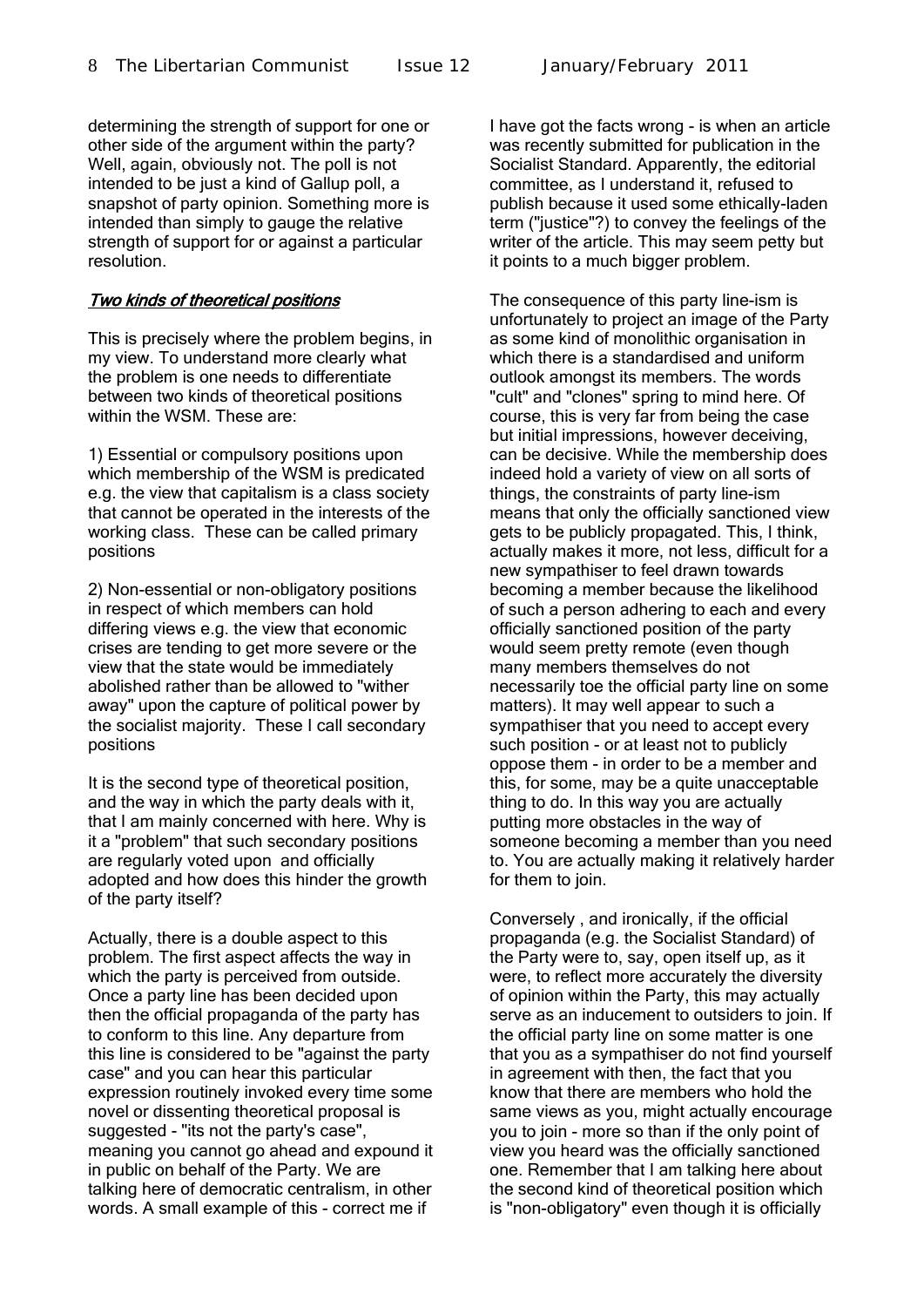determining the strength of support for one or other side of the argument within the party? Well, again, obviously not. The poll is not intended to be just a kind of Gallup poll, a snapshot of party opinion. Something more is intended than simply to gauge the relative strength of support for or against a particular resolution.

#### Two kinds of theoretical positions

This is precisely where the problem begins, in my view. To understand more clearly what the problem is one needs to differentiate between two kinds of theoretical positions within the WSM. These are:

1) Essential or compulsory positions upon which membership of the WSM is predicated e.g. the view that capitalism is a class society that cannot be operated in the interests of the working class. These can be called primary positions

2) Non-essential or non-obligatory positions in respect of which members can hold differing views e.g. the view that economic crises are tending to get more severe or the view that the state would be immediately abolished rather than be allowed to "wither away" upon the capture of political power by the socialist majority. These I call secondary positions

It is the second type of theoretical position, and the way in which the party deals with it, that I am mainly concerned with here. Why is it a "problem" that such secondary positions are regularly voted upon and officially adopted and how does this hinder the growth of the party itself?

Actually, there is a double aspect to this problem. The first aspect affects the way in which the party is perceived from outside. Once a party line has been decided upon then the official propaganda of the party has to conform to this line. Any departure from this line is considered to be "against the party case" and you can hear this particular expression routinely invoked every time some novel or dissenting theoretical proposal is suggested - "its not the party's case", meaning you cannot go ahead and expound it in public on behalf of the Party. We are talking here of democratic centralism, in other words. A small example of this - correct me if

I have got the facts wrong - is when an article was recently submitted for publication in the Socialist Standard. Apparently, the editorial committee, as I understand it, refused to publish because it used some ethically-laden term ("justice"?) to convey the feelings of the writer of the article. This may seem petty but it points to a much bigger problem.

The consequence of this party line-ism is unfortunately to project an image of the Party as some kind of monolithic organisation in which there is a standardised and uniform outlook amongst its members. The words "cult" and "clones" spring to mind here. Of course, this is very far from being the case but initial impressions, however deceiving, can be decisive. While the membership does indeed hold a variety of view on all sorts of things, the constraints of party line-ism means that only the officially sanctioned view gets to be publicly propagated. This, I think, actually makes it more, not less, difficult for a new sympathiser to feel drawn towards becoming a member because the likelihood of such a person adhering to each and every officially sanctioned position of the party would seem pretty remote (even though many members themselves do not necessarily toe the official party line on some matters). It may well appear to such a sympathiser that you need to accept every such position - or at least not to publicly oppose them - in order to be a member and this, for some, may be a quite unacceptable thing to do. In this way you are actually putting more obstacles in the way of someone becoming a member than you need to. You are actually making it relatively harder for them to join.

Conversely , and ironically, if the official propaganda (e.g. the Socialist Standard) of the Party were to, say, open itself up, as it were, to reflect more accurately the diversity of opinion within the Party, this may actually serve as an inducement to outsiders to join. If the official party line on some matter is one that you as a sympathiser do not find yourself in agreement with then, the fact that you know that there are members who hold the same views as you, might actually encourage you to join - more so than if the only point of view you heard was the officially sanctioned one. Remember that I am talking here about the second kind of theoretical position which is "non-obligatory" even though it is officially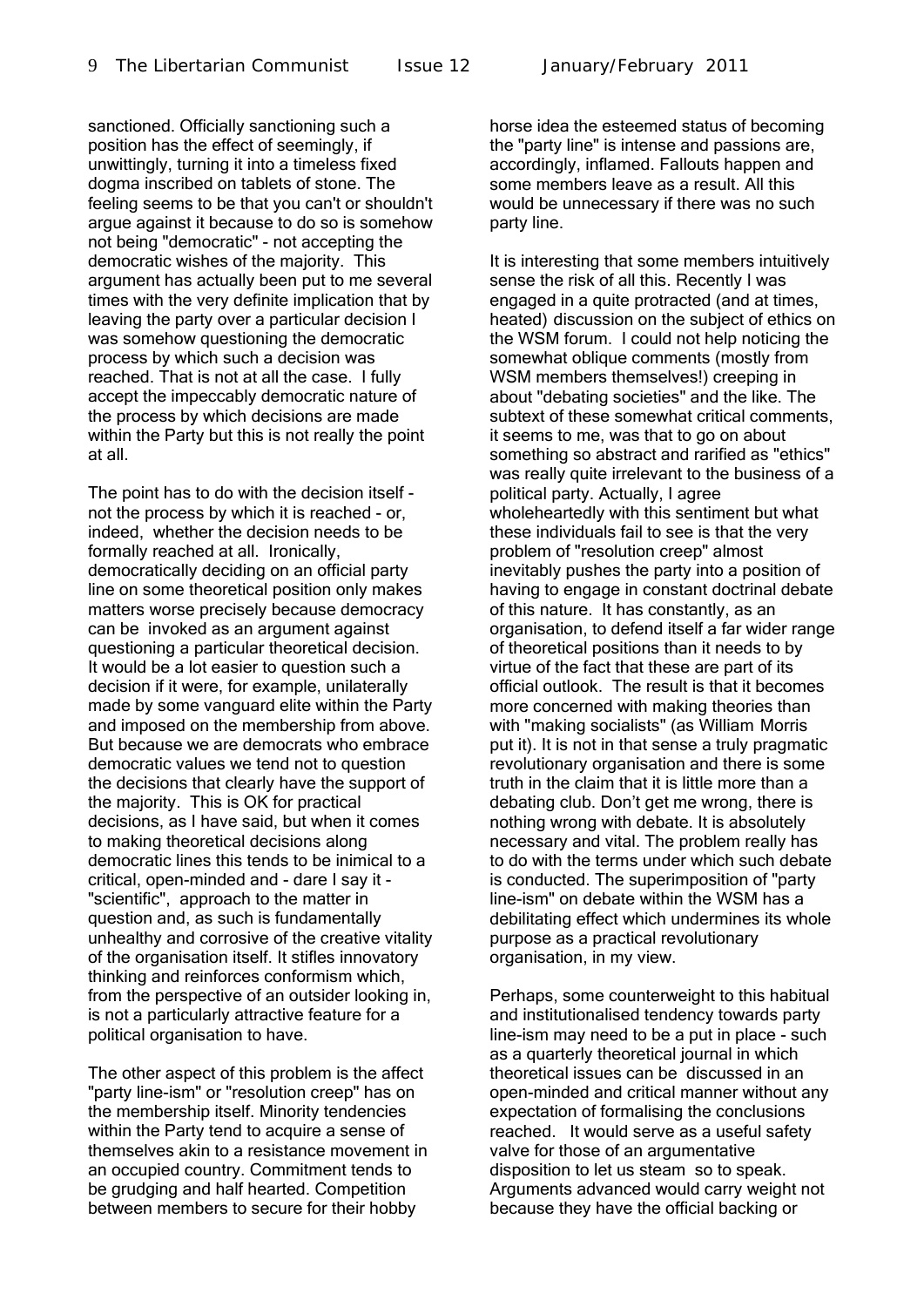sanctioned. Officially sanctioning such a position has the effect of seemingly, if unwittingly, turning it into a timeless fixed dogma inscribed on tablets of stone. The feeling seems to be that you can't or shouldn't argue against it because to do so is somehow not being "democratic" - not accepting the democratic wishes of the majority. This argument has actually been put to me several times with the very definite implication that by leaving the party over a particular decision I was somehow questioning the democratic process by which such a decision was reached. That is not at all the case. I fully accept the impeccably democratic nature of the process by which decisions are made within the Party but this is not really the point at all.

The point has to do with the decision itself not the process by which it is reached - or, indeed, whether the decision needs to be formally reached at all. Ironically, democratically deciding on an official party line on some theoretical position only makes matters worse precisely because democracy can be invoked as an argument against questioning a particular theoretical decision. It would be a lot easier to question such a decision if it were, for example, unilaterally made by some vanguard elite within the Party and imposed on the membership from above. But because we are democrats who embrace democratic values we tend not to question the decisions that clearly have the support of the majority. This is OK for practical decisions, as I have said, but when it comes to making theoretical decisions along democratic lines this tends to be inimical to a critical, open-minded and - dare I say it - "scientific", approach to the matter in question and, as such is fundamentally unhealthy and corrosive of the creative vitality of the organisation itself. It stifles innovatory thinking and reinforces conformism which, from the perspective of an outsider looking in, is not a particularly attractive feature for a political organisation to have.

The other aspect of this problem is the affect "party line-ism" or "resolution creep" has on the membership itself. Minority tendencies within the Party tend to acquire a sense of themselves akin to a resistance movement in an occupied country. Commitment tends to be grudging and half hearted. Competition between members to secure for their hobby

horse idea the esteemed status of becoming the "party line" is intense and passions are, accordingly, inflamed. Fallouts happen and some members leave as a result. All this would be unnecessary if there was no such party line.

It is interesting that some members intuitively sense the risk of all this. Recently I was engaged in a quite protracted (and at times, heated) discussion on the subject of ethics on the WSM forum. I could not help noticing the somewhat oblique comments (mostly from WSM members themselves!) creeping in about "debating societies" and the like. The subtext of these somewhat critical comments, it seems to me, was that to go on about something so abstract and rarified as "ethics" was really quite irrelevant to the business of a political party. Actually, I agree wholeheartedly with this sentiment but what these individuals fail to see is that the very problem of "resolution creep" almost inevitably pushes the party into a position of having to engage in constant doctrinal debate of this nature. It has constantly, as an organisation, to defend itself a far wider range of theoretical positions than it needs to by virtue of the fact that these are part of its official outlook. The result is that it becomes more concerned with making theories than with "making socialists" (as William Morris put it). It is not in that sense a truly pragmatic revolutionary organisation and there is some truth in the claim that it is little more than a debating club. Don't get me wrong, there is nothing wrong with debate. It is absolutely necessary and vital. The problem really has to do with the terms under which such debate is conducted. The superimposition of "party line-ism" on debate within the WSM has a debilitating effect which undermines its whole purpose as a practical revolutionary organisation, in my view.

Perhaps, some counterweight to this habitual and institutionalised tendency towards party line-ism may need to be a put in place - such as a quarterly theoretical journal in which theoretical issues can be discussed in an open-minded and critical manner without any expectation of formalising the conclusions reached. It would serve as a useful safety valve for those of an argumentative disposition to let us steam so to speak. Arguments advanced would carry weight not because they have the official backing or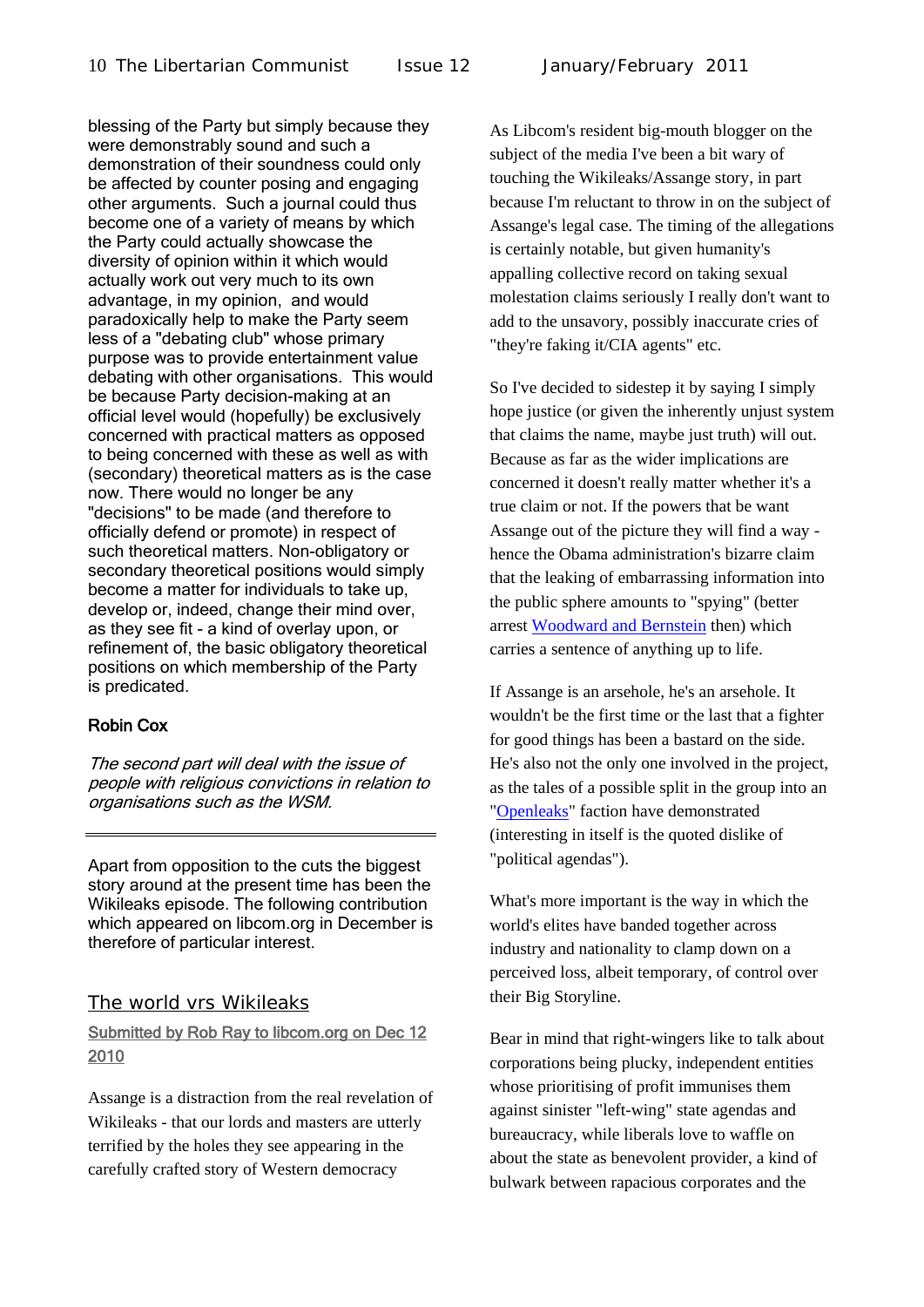blessing of the Party but simply because they were demonstrably sound and such a demonstration of their soundness could only be affected by counter posing and engaging other arguments. Such a journal could thus become one of a variety of means by which the Party could actually showcase the diversity of opinion within it which would actually work out very much to its own advantage, in my opinion, and would paradoxically help to make the Party seem less of a "debating club" whose primary purpose was to provide entertainment value debating with other organisations. This would be because Party decision-making at an official level would (hopefully) be exclusively concerned with practical matters as opposed to being concerned with these as well as with (secondary) theoretical matters as is the case now. There would no longer be any "decisions" to be made (and therefore to officially defend or promote) in respect of such theoretical matters. Non-obligatory or secondary theoretical positions would simply become a matter for individuals to take up, develop or, indeed, change their mind over, as they see fit - a kind of overlay upon, or refinement of, the basic obligatory theoretical positions on which membership of the Party is predicated.

#### Robin Cox

The second part will deal with the issue of people with religious convictions in relation to organisations such as the WSM.

Apart from opposition to the cuts the biggest story around at the present time has been the Wikileaks episode. The following contribution which appeared on libcom.org in December is therefore of particular interest.

#### The world vrs Wikileaks

#### Submitted by [Rob Ray](http://libcom.org/user/188) to libcom.org on Dec 12 2010

Assange is a distraction from the real revelation of Wikileaks - that our lords and masters are utterly terrified by the holes they see appearing in the carefully crafted story of Western democracy

As Libcom's resident big-mouth blogger on the subject of the media I've been a bit wary of touching the Wikileaks/Assange story, in part because I'm reluctant to throw in on the subject of Assange's legal case. The timing of the allegations is certainly notable, but given humanity's appalling collective record on taking sexual molestation claims seriously I really don't want to add to the unsavory, possibly inaccurate cries of "they're faking it/CIA agents" etc.

So I've decided to sidestep it by saying I simply hope justice (or given the inherently unjust system that claims the name, maybe just truth) will out. Because as far as the wider implications are concerned it doesn't really matter whether it's a true claim or not. If the powers that be want Assange out of the picture they will find a way hence the Obama administration's bizarre claim that the leaking of embarrassing information into the public sphere amounts to "spying" (better arrest [Woodward and Bernstein](http://en.wikipedia.org/wiki/Watergate_scandal) then) which carries a sentence of anything up to life.

If Assange is an arsehole, he's an arsehole. It wouldn't be the first time or the last that a fighter for good things has been a bastard on the side. He's also not the only one involved in the project, as the tales of a possible split in the group into an ["Openleaks"](http://whatisthetrend.net/openleaks-sets-to-launch-as-new-wikileaks-rival-20106235.html) faction have demonstrated (interesting in itself is the quoted dislike of "political agendas").

What's more important is the way in which the world's elites have banded together across industry and nationality to clamp down on a perceived loss, albeit temporary, of control over their Big Storyline.

Bear in mind that right-wingers like to talk about corporations being plucky, independent entities whose prioritising of profit immunises them against sinister "left-wing" state agendas and bureaucracy, while liberals love to waffle on about the state as benevolent provider, a kind of bulwark between rapacious corporates and the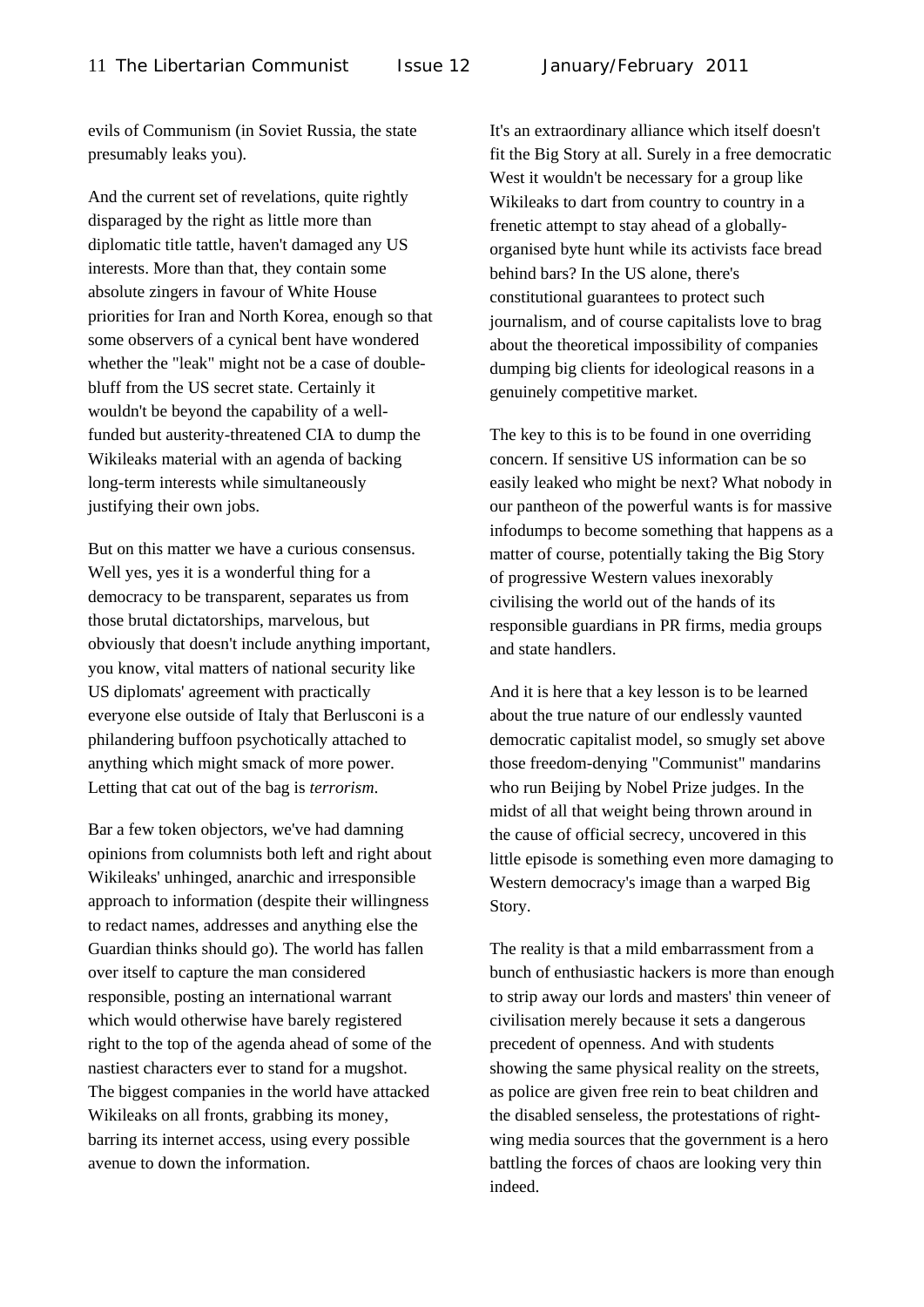evils of Communism (in Soviet Russia, the state presumably leaks you).

And the current set of revelations, quite rightly disparaged by the right as little more than diplomatic title tattle, haven't damaged any US interests. More than that, they contain some absolute zingers in favour of White House priorities for Iran and North Korea, enough so that some observers of a cynical bent have wondered whether the "leak" might not be a case of doublebluff from the US secret state. Certainly it wouldn't be beyond the capability of a wellfunded but austerity-threatened CIA to dump the Wikileaks material with an agenda of backing long-term interests while simultaneously justifying their own jobs.

But on this matter we have a curious consensus. Well yes, yes it is a wonderful thing for a democracy to be transparent, separates us from those brutal dictatorships, marvelous, but obviously that doesn't include anything important, you know, vital matters of national security like US diplomats' agreement with practically everyone else outside of Italy that Berlusconi is a philandering buffoon psychotically attached to anything which might smack of more power. Letting that cat out of the bag is *terrorism*.

Bar a few token objectors, we've had damning opinions from columnists both left and right about Wikileaks' unhinged, anarchic and irresponsible approach to information (despite their willingness to redact names, addresses and anything else the Guardian thinks should go). The world has fallen over itself to capture the man considered responsible, posting an international warrant which would otherwise have barely registered right to the top of the agenda ahead of some of the nastiest characters ever to stand for a mugshot. The biggest companies in the world have attacked Wikileaks on all fronts, grabbing its money, barring its internet access, using every possible avenue to down the information.

It's an extraordinary alliance which itself doesn't fit the Big Story at all. Surely in a free democratic West it wouldn't be necessary for a group like Wikileaks to dart from country to country in a frenetic attempt to stay ahead of a globallyorganised byte hunt while its activists face bread behind bars? In the US alone, there's constitutional guarantees to protect such journalism, and of course capitalists love to brag about the theoretical impossibility of companies dumping big clients for ideological reasons in a genuinely competitive market.

The key to this is to be found in one overriding concern. If sensitive US information can be so easily leaked who might be next? What nobody in our pantheon of the powerful wants is for massive infodumps to become something that happens as a matter of course, potentially taking the Big Story of progressive Western values inexorably civilising the world out of the hands of its responsible guardians in PR firms, media groups and state handlers.

And it is here that a key lesson is to be learned about the true nature of our endlessly vaunted democratic capitalist model, so smugly set above those freedom-denying "Communist" mandarins who run Beijing by Nobel Prize judges. In the midst of all that weight being thrown around in the cause of official secrecy, uncovered in this little episode is something even more damaging to Western democracy's image than a warped Big Story.

The reality is that a mild embarrassment from a bunch of enthusiastic hackers is more than enough to strip away our lords and masters' thin veneer of civilisation merely because it sets a dangerous precedent of openness. And with students showing the same physical reality on the streets, as police are given free rein to beat children and the disabled senseless, the protestations of rightwing media sources that the government is a hero battling the forces of chaos are looking very thin indeed.